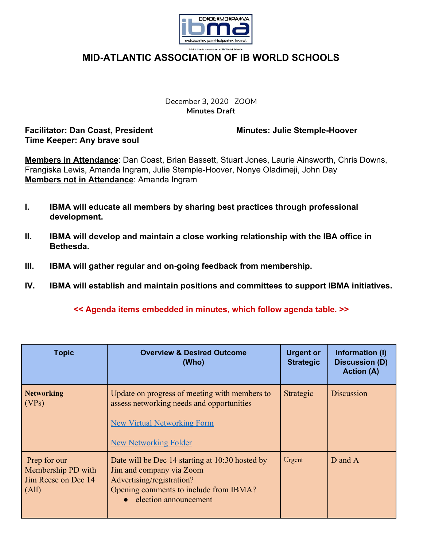

December 3, 2020 ZOOM **Minutes Draft**

**Facilitator: Dan Coast, President Minutes: Julie Stemple-Hoover Time Keeper: Any brave soul**

**Members in Attendance**: Dan Coast, Brian Bassett, Stuart Jones, Laurie Ainsworth, Chris Downs, Frangiska Lewis, Amanda Ingram, Julie Stemple-Hoover, Nonye Oladimeji, John Day **Members not in Attendance**: Amanda Ingram

- **I. IBMA will educate all members by sharing best practices through professional development.**
- **II. IBMA will develop and maintain a close working relationship with the IBA office in Bethesda.**
- **III. IBMA will gather regular and on-going feedback from membership.**
- **IV. IBMA will establish and maintain positions and committees to support IBMA initiatives.**

## **<< Agenda items embedded in minutes, which follow agenda table. >>**

| <b>Topic</b>                                                       | <b>Overview &amp; Desired Outcome</b><br>(Who)                                                                                                                                | <b>Urgent or</b><br><b>Strategic</b> | Information (I)<br><b>Discussion (D)</b><br><b>Action (A)</b> |
|--------------------------------------------------------------------|-------------------------------------------------------------------------------------------------------------------------------------------------------------------------------|--------------------------------------|---------------------------------------------------------------|
| <b>Networking</b><br>(VPs)                                         | Update on progress of meeting with members to<br>assess networking needs and opportunities<br><b>New Virtual Networking Form</b><br><b>New Networking Folder</b>              | Strategic                            | Discussion                                                    |
| Prep for our<br>Membership PD with<br>Jim Reese on Dec 14<br>(All) | Date will be Dec 14 starting at 10:30 hosted by<br>Jim and company via Zoom<br>Advertising/registration?<br>Opening comments to include from IBMA?<br>• election announcement | Urgent                               | D and A                                                       |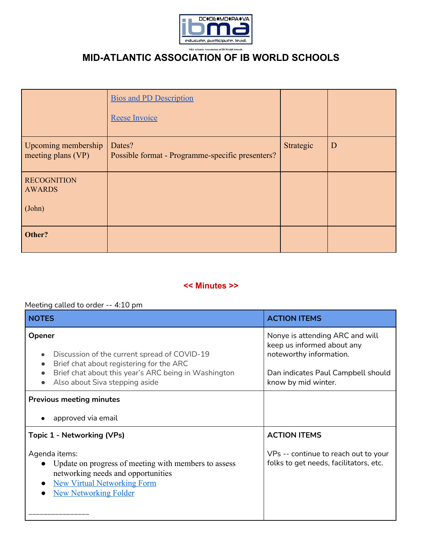

|                                           | <b>Bios and PD Description</b><br>Reese Invoice            |           |   |
|-------------------------------------------|------------------------------------------------------------|-----------|---|
| Upcoming membership<br>meeting plans (VP) | Dates?<br>Possible format - Programme-specific presenters? | Strategic | D |
| <b>RECOGNITION</b><br><b>AWARDS</b>       |                                                            |           |   |
| (John)                                    |                                                            |           |   |
| Other?                                    |                                                            |           |   |

### **<< Minutes >>**

### Meeting called to order -- 4:10 pm

| <b>NOTES</b>                                                                                                                                                                                                                        | <b>ACTION ITEMS</b>                                                                                                                                   |  |
|-------------------------------------------------------------------------------------------------------------------------------------------------------------------------------------------------------------------------------------|-------------------------------------------------------------------------------------------------------------------------------------------------------|--|
| Opener<br>Discussion of the current spread of COVID-19<br>$\bullet$<br>Brief chat about registering for the ARC<br>$\bullet$<br>Brief chat about this year's ARC being in Washington<br>$\bullet$<br>Also about Siva stepping aside | Nonye is attending ARC and will<br>keep us informed about any<br>noteworthy information.<br>Dan indicates Paul Campbell should<br>know by mid winter. |  |
| <b>Previous meeting minutes</b>                                                                                                                                                                                                     |                                                                                                                                                       |  |
| approved via email<br>$\bullet$                                                                                                                                                                                                     |                                                                                                                                                       |  |
| Topic 1 - Networking (VPs)                                                                                                                                                                                                          | <b>ACTION ITEMS</b>                                                                                                                                   |  |
| Agenda items:<br>Update on progress of meeting with members to assess<br>networking needs and opportunities<br><b>New Virtual Networking Form</b><br>$\bullet$<br><b>New Networking Folder</b>                                      | VPs -- continue to reach out to your<br>folks to get needs, facilitators, etc.                                                                        |  |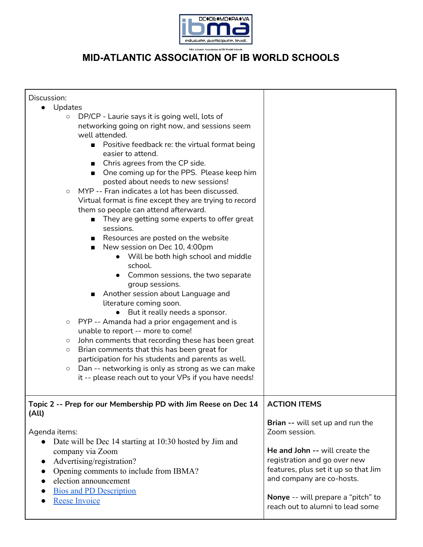

| Discussion:                                                                                                                                                                                                                                                                                                                                                                                                                                                                                                                                                                                                                                                                                                                                                                                                                                                                                                                                                                                                                                                                                                                                                                                                                                                                                |                                                                                                                                                                                                                                                                    |
|--------------------------------------------------------------------------------------------------------------------------------------------------------------------------------------------------------------------------------------------------------------------------------------------------------------------------------------------------------------------------------------------------------------------------------------------------------------------------------------------------------------------------------------------------------------------------------------------------------------------------------------------------------------------------------------------------------------------------------------------------------------------------------------------------------------------------------------------------------------------------------------------------------------------------------------------------------------------------------------------------------------------------------------------------------------------------------------------------------------------------------------------------------------------------------------------------------------------------------------------------------------------------------------------|--------------------------------------------------------------------------------------------------------------------------------------------------------------------------------------------------------------------------------------------------------------------|
|                                                                                                                                                                                                                                                                                                                                                                                                                                                                                                                                                                                                                                                                                                                                                                                                                                                                                                                                                                                                                                                                                                                                                                                                                                                                                            |                                                                                                                                                                                                                                                                    |
| Updates<br>DP/CP - Laurie says it is going well, lots of<br>$\circ$<br>networking going on right now, and sessions seem<br>well attended.<br>■ Positive feedback re: the virtual format being<br>easier to attend.<br>■ Chris agrees from the CP side.<br>One coming up for the PPS. Please keep him<br>$\mathbf{r}$<br>posted about needs to new sessions!<br>MYP -- Fran indicates a lot has been discussed.<br>$\circ$<br>Virtual format is fine except they are trying to record<br>them so people can attend afterward.<br>They are getting some experts to offer great<br>sessions.<br>Resources are posted on the website<br>New session on Dec 10, 4:00pm<br>• Will be both high school and middle<br>school.<br>Common sessions, the two separate<br>group sessions.<br>Another session about Language and<br>literature coming soon.<br>But it really needs a sponsor.<br>PYP -- Amanda had a prior engagement and is<br>O<br>unable to report -- more to come!<br>John comments that recording these has been great<br>$\circlearrowright$<br>Brian comments that this has been great for<br>O<br>participation for his students and parents as well.<br>Dan -- networking is only as strong as we can make<br>$\circ$<br>it -- please reach out to your VPs if you have needs! |                                                                                                                                                                                                                                                                    |
| Topic 2 -- Prep for our Membership PD with Jim Reese on Dec 14                                                                                                                                                                                                                                                                                                                                                                                                                                                                                                                                                                                                                                                                                                                                                                                                                                                                                                                                                                                                                                                                                                                                                                                                                             | <b>ACTION ITEMS</b>                                                                                                                                                                                                                                                |
| (All)<br>Agenda items:<br>Date will be Dec 14 starting at 10:30 hosted by Jim and<br>company via Zoom<br>Advertising/registration?<br>$\bullet$<br>Opening comments to include from IBMA?<br>election announcement<br><b>Bios and PD Description</b><br><b>Reese Invoice</b>                                                                                                                                                                                                                                                                                                                                                                                                                                                                                                                                                                                                                                                                                                                                                                                                                                                                                                                                                                                                               | Brian -- will set up and run the<br>Zoom session.<br>He and John -- will create the<br>registration and go over new<br>features, plus set it up so that Jim<br>and company are co-hosts.<br>Nonye -- will prepare a "pitch" to<br>reach out to alumni to lead some |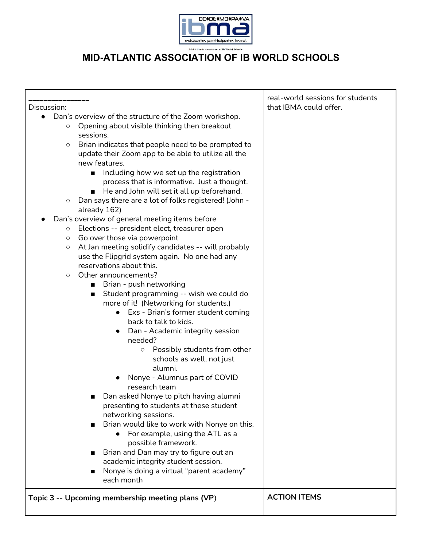

| Discussion:                                                      | real-world sessions for students<br>that IBMA could offer. |
|------------------------------------------------------------------|------------------------------------------------------------|
| Dan's overview of the structure of the Zoom workshop.            |                                                            |
| Opening about visible thinking then breakout<br>$\circ$          |                                                            |
| sessions.                                                        |                                                            |
| Brian indicates that people need to be prompted to<br>$\circ$    |                                                            |
| update their Zoom app to be able to utilize all the              |                                                            |
| new features.                                                    |                                                            |
| Including how we set up the registration<br>$\blacksquare$       |                                                            |
| process that is informative. Just a thought.                     |                                                            |
| He and John will set it all up beforehand.<br>ш                  |                                                            |
| Dan says there are a lot of folks registered! (John -<br>$\circ$ |                                                            |
| already 162)                                                     |                                                            |
| Dan's overview of general meeting items before                   |                                                            |
| Elections -- president elect, treasurer open<br>$\circ$          |                                                            |
| Go over those via powerpoint<br>$\circ$                          |                                                            |
| At Jan meeting solidify candidates -- will probably<br>$\circ$   |                                                            |
| use the Flipgrid system again. No one had any                    |                                                            |
| reservations about this.                                         |                                                            |
| Other announcements?<br>$\circ$                                  |                                                            |
| Brian - push networking<br>п                                     |                                                            |
| Student programming -- wish we could do<br>п                     |                                                            |
| more of it! (Networking for students.)                           |                                                            |
| Exs - Brian's former student coming<br>$\bullet$                 |                                                            |
| back to talk to kids.                                            |                                                            |
| Dan - Academic integrity session<br>needed?                      |                                                            |
| Possibly students from other                                     |                                                            |
| $\circ$<br>schools as well, not just                             |                                                            |
| alumni.                                                          |                                                            |
| Nonye - Alumnus part of COVID                                    |                                                            |
| research team                                                    |                                                            |
| Dan asked Nonye to pitch having alumni                           |                                                            |
| presenting to students at these student                          |                                                            |
| networking sessions.                                             |                                                            |
| Brian would like to work with Nonye on this.                     |                                                            |
| For example, using the ATL as a                                  |                                                            |
| possible framework.                                              |                                                            |
| Brian and Dan may try to figure out an                           |                                                            |
| academic integrity student session.                              |                                                            |
| Nonye is doing a virtual "parent academy"                        |                                                            |
| each month                                                       |                                                            |
|                                                                  |                                                            |
|                                                                  |                                                            |
| Topic 3 -- Upcoming membership meeting plans (VP)                | <b>ACTION ITEMS</b>                                        |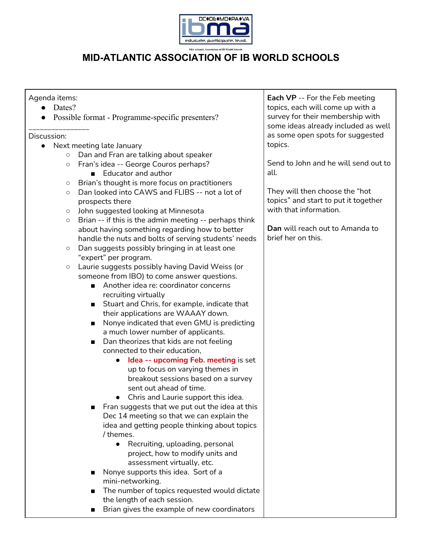

#### Agenda items:

- Dates?
- Possible format Programme-specific presenters?

#### \_\_\_\_\_\_\_\_\_\_\_\_\_\_\_\_ Discussion:

- Next meeting late January
	- Dan and Fran are talking about speaker
	- Fran's idea -- George Couros perhaps?
		- Educator and author
	- Brian's thought is more focus on practitioners
	- Dan looked into CAWS and FLIBS -- not a lot of prospects there
	- John suggested looking at Minnesota
	- Brian -- if this is the admin meeting -- perhaps think about having something regarding how to better handle the nuts and bolts of serving students' needs
	- Dan suggests possibly bringing in at least one "expert" per program.
	- Laurie suggests possibly having David Weiss (or someone from IBO) to come answer questions.
		- Another idea re: coordinator concerns recruiting virtually
		- Stuart and Chris, for example, indicate that their applications are WAAAY down.
		- Nonye indicated that even GMU is predicting a much lower number of applicants.
		- Dan theorizes that kids are not feeling connected to their education,
			- **Idea -- upcoming Feb. meeting** is set up to focus on varying themes in breakout sessions based on a survey sent out ahead of time.
			- Chris and Laurie support this idea.
		- Fran suggests that we put out the idea at this Dec 14 meeting so that we can explain the idea and getting people thinking about topics / themes.
			- Recruiting, uploading, personal project, how to modify units and assessment virtually, etc.
		- Nonye supports this idea. Sort of a mini-networking.
		- The number of topics requested would dictate the length of each session.
		- Brian gives the example of new coordinators

**Each VP** -- For the Feb meeting topics, each will come up with a survey for their membership with some ideas already included as well as some open spots for suggested topics.

Send to John and he will send out to all.

They will then choose the "hot topics" and start to put it together with that information.

**Dan** will reach out to Amanda to brief her on this.